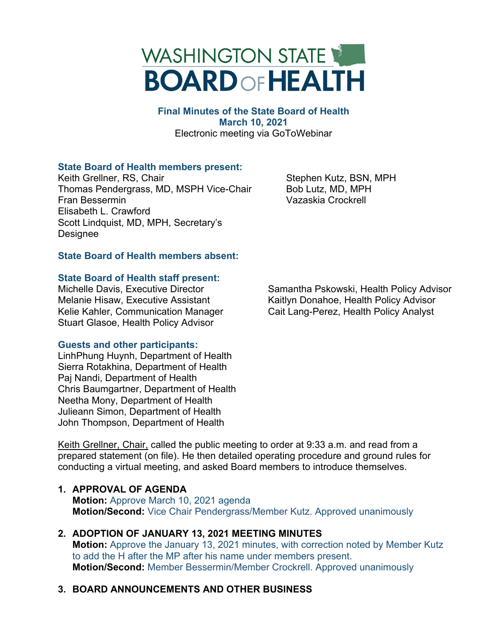# WASHINGTON STATE **BOARD OF HEALTH**

**Final Minutes of the State Board of Health March 10, 2021** Electronic meeting via GoToWebinar

# **State Board of Health members present:**

Keith Grellner, RS, Chair Thomas Pendergrass, MD, MSPH Vice-Chair Fran Bessermin Elisabeth L. Crawford Scott Lindquist, MD, MPH, Secretary's Designee

Stephen Kutz, BSN, MPH Bob Lutz, MD, MPH Vazaskia Crockrell

# **State Board of Health members absent:**

#### **State Board of Health staff present:**

Michelle Davis, Executive Director Melanie Hisaw, Executive Assistant Kelie Kahler, Communication Manager Stuart Glasoe, Health Policy Advisor

# **Guests and other participants:**

LinhPhung Huynh, Department of Health Sierra Rotakhina, Department of Health Paj Nandi, Department of Health Chris Baumgartner, Department of Health Neetha Mony, Department of Health Julieann Simon, Department of Health John Thompson, Department of Health

Keith Grellner, Chair, called the public meeting to order at 9:33 a.m. and read from a prepared statement (on file). He then detailed operating procedure and ground rules for conducting a virtual meeting, and asked Board members to introduce themselves.

# **1. APPROVAL OF AGENDA**

**Motion:** Approve March 10, 2021 agenda **Motion/Second:** Vice Chair Pendergrass/Member Kutz. Approved unanimously

# **2. ADOPTION OF JANUARY 13, 2021 MEETING MINUTES**

**Motion:** Approve the January 13, 2021 minutes, with correction noted by Member Kutz to add the H after the MP after his name under members present. **Motion/Second:** Member Bessermin/Member Crockrell. Approved unanimously

# **3. BOARD ANNOUNCEMENTS AND OTHER BUSINESS**

Samantha Pskowski, Health Policy Advisor Kaitlyn Donahoe, Health Policy Advisor Cait Lang-Perez, Health Policy Analyst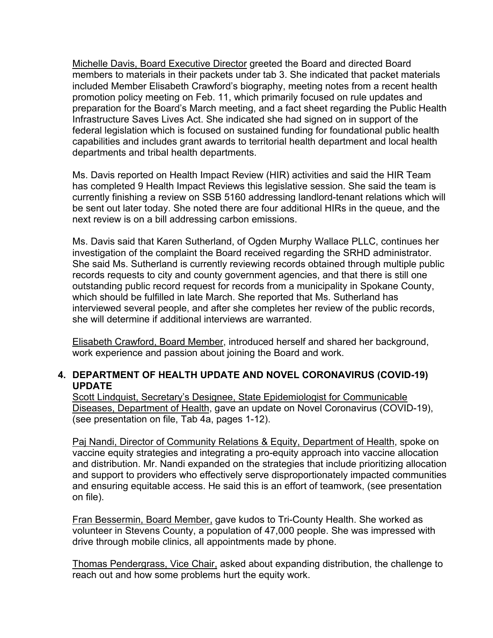Michelle Davis, Board Executive Director greeted the Board and directed Board members to materials in their packets under tab 3. She indicated that packet materials included Member Elisabeth Crawford's biography, meeting notes from a recent health promotion policy meeting on Feb. 11, which primarily focused on rule updates and preparation for the Board's March meeting, and a fact sheet regarding the Public Health Infrastructure Saves Lives Act. She indicated she had signed on in support of the federal legislation which is focused on sustained funding for foundational public health capabilities and includes grant awards to territorial health department and local health departments and tribal health departments.

Ms. Davis reported on Health Impact Review (HIR) activities and said the HIR Team has completed 9 Health Impact Reviews this legislative session. She said the team is currently finishing a review on SSB 5160 addressing landlord-tenant relations which will be sent out later today. She noted there are four additional HIRs in the queue, and the next review is on a bill addressing carbon emissions.

Ms. Davis said that Karen Sutherland, of Ogden Murphy Wallace PLLC, continues her investigation of the complaint the Board received regarding the SRHD administrator. She said Ms. Sutherland is currently reviewing records obtained through multiple public records requests to city and county government agencies, and that there is still one outstanding public record request for records from a municipality in Spokane County, which should be fulfilled in late March. She reported that Ms. Sutherland has interviewed several people, and after she completes her review of the public records, she will determine if additional interviews are warranted.

Elisabeth Crawford, Board Member, introduced herself and shared her background, work experience and passion about joining the Board and work.

# **4. DEPARTMENT OF HEALTH UPDATE AND NOVEL CORONAVIRUS (COVID-19) UPDATE**

Scott Lindquist, Secretary's Designee, State Epidemiologist for Communicable Diseases, Department of Health, gave an update on Novel Coronavirus (COVID-19), (see presentation on file, Tab 4a, pages 1-12).

Paj Nandi, Director of Community Relations & Equity, Department of Health, spoke on vaccine equity strategies and integrating a pro-equity approach into vaccine allocation and distribution. Mr. Nandi expanded on the strategies that include prioritizing allocation and support to providers who effectively serve disproportionately impacted communities and ensuring equitable access. He said this is an effort of teamwork, (see presentation on file).

Fran Bessermin, Board Member, gave kudos to Tri-County Health. She worked as volunteer in Stevens County, a population of 47,000 people. She was impressed with drive through mobile clinics, all appointments made by phone.

Thomas Pendergrass, Vice Chair, asked about expanding distribution, the challenge to reach out and how some problems hurt the equity work.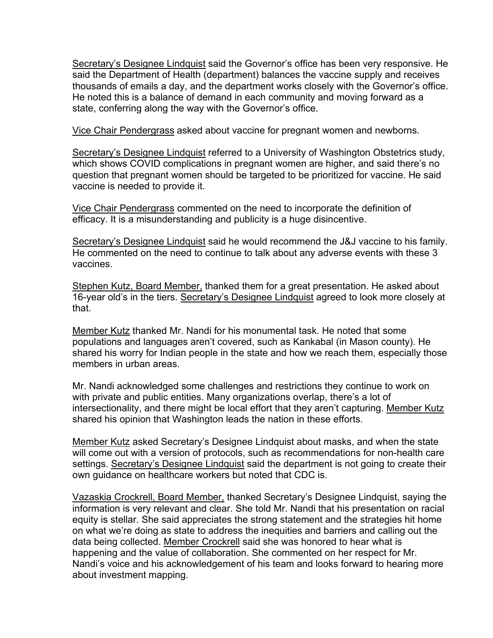Secretary's Designee Lindquist said the Governor's office has been very responsive. He said the Department of Health (department) balances the vaccine supply and receives thousands of emails a day, and the department works closely with the Governor's office. He noted this is a balance of demand in each community and moving forward as a state, conferring along the way with the Governor's office.

Vice Chair Pendergrass asked about vaccine for pregnant women and newborns.

Secretary's Designee Lindquist referred to a University of Washington Obstetrics study, which shows COVID complications in pregnant women are higher, and said there's no question that pregnant women should be targeted to be prioritized for vaccine. He said vaccine is needed to provide it.

Vice Chair Pendergrass commented on the need to incorporate the definition of efficacy. It is a misunderstanding and publicity is a huge disincentive.

Secretary's Designee Lindquist said he would recommend the J&J vaccine to his family. He commented on the need to continue to talk about any adverse events with these 3 vaccines.

Stephen Kutz, Board Member, thanked them for a great presentation. He asked about 16-year old's in the tiers. Secretary's Designee Lindquist agreed to look more closely at that.

Member Kutz thanked Mr. Nandi for his monumental task. He noted that some populations and languages aren't covered, such as Kankabal (in Mason county). He shared his worry for Indian people in the state and how we reach them, especially those members in urban areas.

Mr. Nandi acknowledged some challenges and restrictions they continue to work on with private and public entities. Many organizations overlap, there's a lot of intersectionality, and there might be local effort that they aren't capturing. Member Kutz shared his opinion that Washington leads the nation in these efforts.

Member Kutz asked Secretary's Designee Lindquist about masks, and when the state will come out with a version of protocols, such as recommendations for non-health care settings. Secretary's Designee Lindquist said the department is not going to create their own guidance on healthcare workers but noted that CDC is.

Vazaskia Crockrell, Board Member, thanked Secretary's Designee Lindquist, saying the information is very relevant and clear. She told Mr. Nandi that his presentation on racial equity is stellar. She said appreciates the strong statement and the strategies hit home on what we're doing as state to address the inequities and barriers and calling out the data being collected. Member Crockrell said she was honored to hear what is happening and the value of collaboration. She commented on her respect for Mr. Nandi's voice and his acknowledgement of his team and looks forward to hearing more about investment mapping.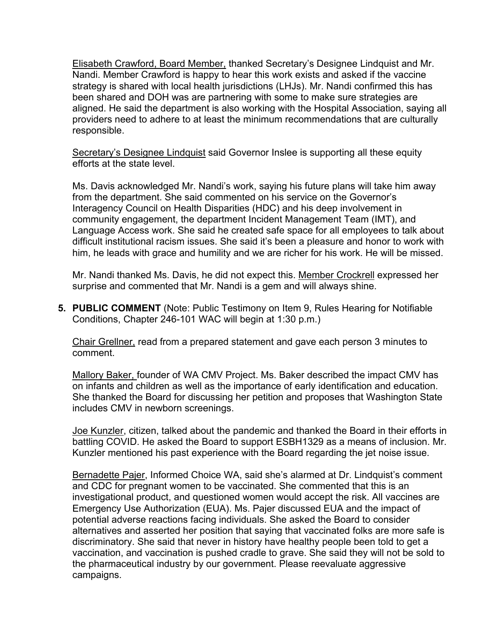Elisabeth Crawford, Board Member, thanked Secretary's Designee Lindquist and Mr. Nandi. Member Crawford is happy to hear this work exists and asked if the vaccine strategy is shared with local health jurisdictions (LHJs). Mr. Nandi confirmed this has been shared and DOH was are partnering with some to make sure strategies are aligned. He said the department is also working with the Hospital Association, saying all providers need to adhere to at least the minimum recommendations that are culturally responsible.

Secretary's Designee Lindquist said Governor Inslee is supporting all these equity efforts at the state level.

Ms. Davis acknowledged Mr. Nandi's work, saying his future plans will take him away from the department. She said commented on his service on the Governor's Interagency Council on Health Disparities (HDC) and his deep involvement in community engagement, the department Incident Management Team (IMT), and Language Access work. She said he created safe space for all employees to talk about difficult institutional racism issues. She said it's been a pleasure and honor to work with him, he leads with grace and humility and we are richer for his work. He will be missed.

Mr. Nandi thanked Ms. Davis, he did not expect this. Member Crockrell expressed her surprise and commented that Mr. Nandi is a gem and will always shine.

**5. PUBLIC COMMENT** (Note: Public Testimony on Item 9, Rules Hearing for Notifiable Conditions, Chapter 246-101 WAC will begin at 1:30 p.m.)

Chair Grellner, read from a prepared statement and gave each person 3 minutes to comment.

Mallory Baker, founder of WA CMV Project. Ms. Baker described the impact CMV has on infants and children as well as the importance of early identification and education. She thanked the Board for discussing her petition and proposes that Washington State includes CMV in newborn screenings.

Joe Kunzler, citizen, talked about the pandemic and thanked the Board in their efforts in battling COVID. He asked the Board to support ESBH1329 as a means of inclusion. Mr. Kunzler mentioned his past experience with the Board regarding the jet noise issue.

Bernadette Pajer, Informed Choice WA, said she's alarmed at Dr. Lindquist's comment and CDC for pregnant women to be vaccinated. She commented that this is an investigational product, and questioned women would accept the risk. All vaccines are Emergency Use Authorization (EUA). Ms. Pajer discussed EUA and the impact of potential adverse reactions facing individuals. She asked the Board to consider alternatives and asserted her position that saying that vaccinated folks are more safe is discriminatory. She said that never in history have healthy people been told to get a vaccination, and vaccination is pushed cradle to grave. She said they will not be sold to the pharmaceutical industry by our government. Please reevaluate aggressive campaigns.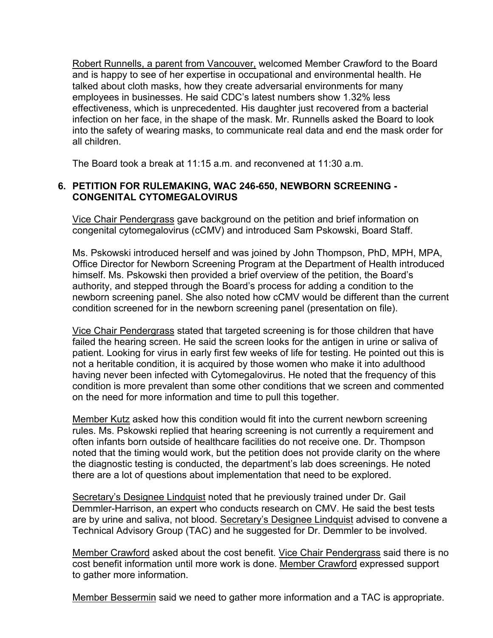Robert Runnells, a parent from Vancouver, welcomed Member Crawford to the Board and is happy to see of her expertise in occupational and environmental health. He talked about cloth masks, how they create adversarial environments for many employees in businesses. He said CDC's latest numbers show 1.32% less effectiveness, which is unprecedented. His daughter just recovered from a bacterial infection on her face, in the shape of the mask. Mr. Runnells asked the Board to look into the safety of wearing masks, to communicate real data and end the mask order for all children.

The Board took a break at 11:15 a.m. and reconvened at 11:30 a.m.

# **6. PETITION FOR RULEMAKING, WAC 246-650, NEWBORN SCREENING - CONGENITAL CYTOMEGALOVIRUS**

Vice Chair Pendergrass gave background on the petition and brief information on congenital cytomegalovirus (cCMV) and introduced Sam Pskowski, Board Staff.

Ms. Pskowski introduced herself and was joined by John Thompson, PhD, MPH, MPA, Office Director for Newborn Screening Program at the Department of Health introduced himself. Ms. Pskowski then provided a brief overview of the petition, the Board's authority, and stepped through the Board's process for adding a condition to the newborn screening panel. She also noted how cCMV would be different than the current condition screened for in the newborn screening panel (presentation on file).

Vice Chair Pendergrass stated that targeted screening is for those children that have failed the hearing screen. He said the screen looks for the antigen in urine or saliva of patient. Looking for virus in early first few weeks of life for testing. He pointed out this is not a heritable condition, it is acquired by those women who make it into adulthood having never been infected with Cytomegalovirus. He noted that the frequency of this condition is more prevalent than some other conditions that we screen and commented on the need for more information and time to pull this together.

Member Kutz asked how this condition would fit into the current newborn screening rules. Ms. Pskowski replied that hearing screening is not currently a requirement and often infants born outside of healthcare facilities do not receive one. Dr. Thompson noted that the timing would work, but the petition does not provide clarity on the where the diagnostic testing is conducted, the department's lab does screenings. He noted there are a lot of questions about implementation that need to be explored.

Secretary's Designee Lindquist noted that he previously trained under Dr. Gail Demmler-Harrison, an expert who conducts research on CMV. He said the best tests are by urine and saliva, not blood. Secretary's Designee Lindquist advised to convene a Technical Advisory Group (TAC) and he suggested for Dr. Demmler to be involved.

Member Crawford asked about the cost benefit. Vice Chair Pendergrass said there is no cost benefit information until more work is done. Member Crawford expressed support to gather more information.

Member Bessermin said we need to gather more information and a TAC is appropriate.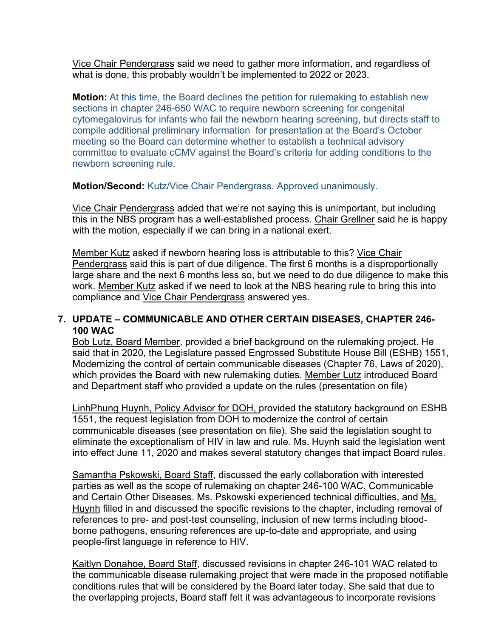Vice Chair Pendergrass said we need to gather more information, and regardless of what is done, this probably wouldn't be implemented to 2022 or 2023.

**Motion:** At this time, the Board declines the petition for rulemaking to establish new sections in chapter 246-650 WAC to require newborn screening for congenital cytomegalovirus for infants who fail the newborn hearing screening, but directs staff to compile additional preliminary information for presentation at the Board's October meeting so the Board can determine whether to establish a technical advisory committee to evaluate cCMV against the Board's criteria for adding conditions to the newborn screening rule.

**Motion/Second:** Kutz/Vice Chair Pendergrass. Approved unanimously.

Vice Chair Pendergrass added that we're not saying this is unimportant, but including this in the NBS program has a well-established process. Chair Grellner said he is happy with the motion, especially if we can bring in a national exert.

Member Kutz asked if newborn hearing loss is attributable to this? Vice Chair Pendergrass said this is part of due diligence. The first 6 months is a disproportionally large share and the next 6 months less so, but we need to do due diligence to make this work. Member Kutz asked if we need to look at the NBS hearing rule to bring this into compliance and Vice Chair Pendergrass answered yes.

# **7. UPDATE – COMMUNICABLE AND OTHER CERTAIN DISEASES, CHAPTER 246- 100 WAC**

Bob Lutz, Board Member, provided a brief background on the rulemaking project. He said that in 2020, the Legislature passed Engrossed Substitute House Bill (ESHB) 1551, Modernizing the control of certain communicable diseases (Chapter 76, Laws of 2020), which provides the Board with new rulemaking duties. Member Lutz introduced Board and Department staff who provided a update on the rules (presentation on file)

LinhPhung Huynh, Policy Advisor for DOH, provided the statutory background on ESHB 1551, the request legislation from DOH to modernize the control of certain communicable diseases (see presentation on file). She said the legislation sought to eliminate the exceptionalism of HIV in law and rule. Ms. Huynh said the legislation went into effect June 11, 2020 and makes several statutory changes that impact Board rules.

Samantha Pskowski, Board Staff, discussed the early collaboration with interested parties as well as the scope of rulemaking on chapter 246-100 WAC, Communicable and Certain Other Diseases. Ms. Pskowski experienced technical difficulties, and Ms. Huynh filled in and discussed the specific revisions to the chapter, including removal of references to pre- and post-test counseling, inclusion of new terms including bloodborne pathogens, ensuring references are up-to-date and appropriate, and using people-first language in reference to HIV.

Kaitlyn Donahoe, Board Staff, discussed revisions in chapter 246-101 WAC related to the communicable disease rulemaking project that were made in the proposed notifiable conditions rules that will be considered by the Board later today. She said that due to the overlapping projects, Board staff felt it was advantageous to incorporate revisions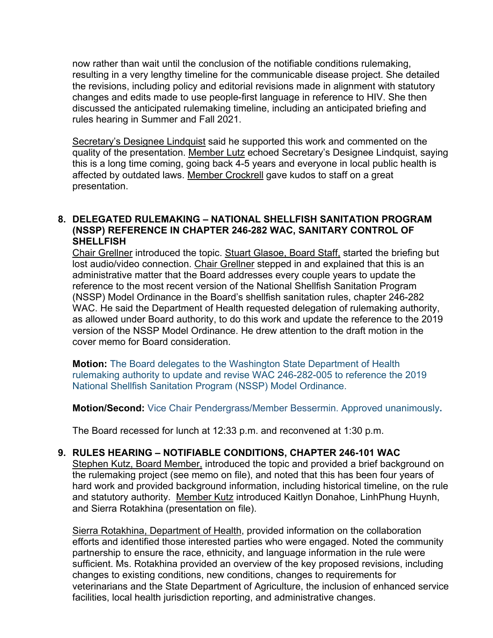now rather than wait until the conclusion of the notifiable conditions rulemaking, resulting in a very lengthy timeline for the communicable disease project. She detailed the revisions, including policy and editorial revisions made in alignment with statutory changes and edits made to use people-first language in reference to HIV. She then discussed the anticipated rulemaking timeline, including an anticipated briefing and rules hearing in Summer and Fall 2021.

Secretary's Designee Lindquist said he supported this work and commented on the quality of the presentation. Member Lutz echoed Secretary's Designee Lindquist, saying this is a long time coming, going back 4-5 years and everyone in local public health is affected by outdated laws. Member Crockrell gave kudos to staff on a great presentation.

#### **8. DELEGATED RULEMAKING – NATIONAL SHELLFISH SANITATION PROGRAM (NSSP) REFERENCE IN CHAPTER 246-282 WAC, SANITARY CONTROL OF SHELLFISH**

Chair Grellner introduced the topic. Stuart Glasoe, Board Staff, started the briefing but lost audio/video connection. Chair Grellner stepped in and explained that this is an administrative matter that the Board addresses every couple years to update the reference to the most recent version of the National Shellfish Sanitation Program (NSSP) Model Ordinance in the Board's shellfish sanitation rules, chapter 246-282 WAC. He said the Department of Health requested delegation of rulemaking authority, as allowed under Board authority, to do this work and update the reference to the 2019 version of the NSSP Model Ordinance. He drew attention to the draft motion in the cover memo for Board consideration.

**Motion:** The Board delegates to the Washington State Department of Health rulemaking authority to update and revise WAC 246-282-005 to reference the 2019 National Shellfish Sanitation Program (NSSP) Model Ordinance.

**Motion/Second:** Vice Chair Pendergrass/Member Bessermin. Approved unanimously**.**

The Board recessed for lunch at 12:33 p.m. and reconvened at 1:30 p.m.

# **9. RULES HEARING – NOTIFIABLE CONDITIONS, CHAPTER 246-101 WAC**

Stephen Kutz, Board Member, introduced the topic and provided a brief background on the rulemaking project (see memo on file), and noted that this has been four years of hard work and provided background information, including historical timeline, on the rule and statutory authority. Member Kutz introduced Kaitlyn Donahoe, LinhPhung Huynh, and Sierra Rotakhina (presentation on file).

Sierra Rotakhina, Department of Health, provided information on the collaboration efforts and identified those interested parties who were engaged. Noted the community partnership to ensure the race, ethnicity, and language information in the rule were sufficient. Ms. Rotakhina provided an overview of the key proposed revisions, including changes to existing conditions, new conditions, changes to requirements for veterinarians and the State Department of Agriculture, the inclusion of enhanced service facilities, local health jurisdiction reporting, and administrative changes.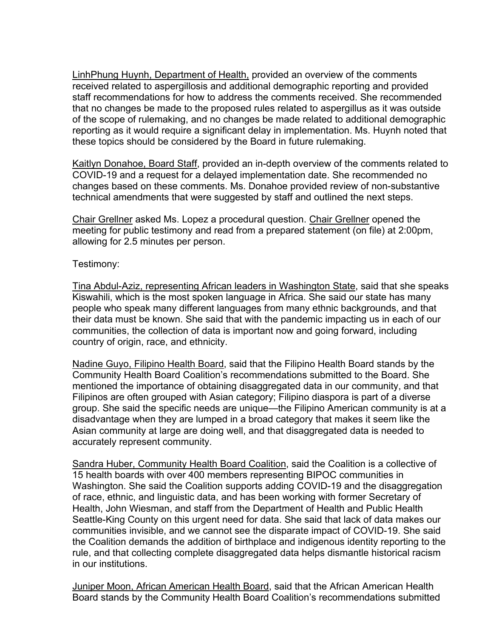LinhPhung Huynh, Department of Health, provided an overview of the comments received related to aspergillosis and additional demographic reporting and provided staff recommendations for how to address the comments received. She recommended that no changes be made to the proposed rules related to aspergillus as it was outside of the scope of rulemaking, and no changes be made related to additional demographic reporting as it would require a significant delay in implementation. Ms. Huynh noted that these topics should be considered by the Board in future rulemaking.

Kaitlyn Donahoe, Board Staff, provided an in-depth overview of the comments related to COVID-19 and a request for a delayed implementation date. She recommended no changes based on these comments. Ms. Donahoe provided review of non-substantive technical amendments that were suggested by staff and outlined the next steps.

Chair Grellner asked Ms. Lopez a procedural question. Chair Grellner opened the meeting for public testimony and read from a prepared statement (on file) at 2:00pm, allowing for 2.5 minutes per person.

# Testimony:

Tina Abdul-Aziz, representing African leaders in Washington State, said that she speaks Kiswahili, which is the most spoken language in Africa. She said our state has many people who speak many different languages from many ethnic backgrounds, and that their data must be known. She said that with the pandemic impacting us in each of our communities, the collection of data is important now and going forward, including country of origin, race, and ethnicity.

Nadine Guyo, Filipino Health Board, said that the Filipino Health Board stands by the Community Health Board Coalition's recommendations submitted to the Board. She mentioned the importance of obtaining disaggregated data in our community, and that Filipinos are often grouped with Asian category; Filipino diaspora is part of a diverse group. She said the specific needs are unique—the Filipino American community is at a disadvantage when they are lumped in a broad category that makes it seem like the Asian community at large are doing well, and that disaggregated data is needed to accurately represent community.

Sandra Huber, Community Health Board Coalition, said the Coalition is a collective of 15 health boards with over 400 members representing BIPOC communities in Washington. She said the Coalition supports adding COVID-19 and the disaggregation of race, ethnic, and linguistic data, and has been working with former Secretary of Health, John Wiesman, and staff from the Department of Health and Public Health Seattle-King County on this urgent need for data. She said that lack of data makes our communities invisible, and we cannot see the disparate impact of COVID-19. She said the Coalition demands the addition of birthplace and indigenous identity reporting to the rule, and that collecting complete disaggregated data helps dismantle historical racism in our institutions.

Juniper Moon, African American Health Board, said that the African American Health Board stands by the Community Health Board Coalition's recommendations submitted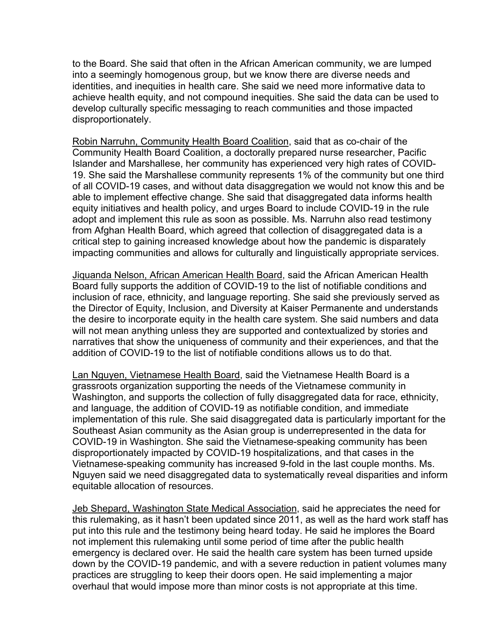to the Board. She said that often in the African American community, we are lumped into a seemingly homogenous group, but we know there are diverse needs and identities, and inequities in health care. She said we need more informative data to achieve health equity, and not compound inequities. She said the data can be used to develop culturally specific messaging to reach communities and those impacted disproportionately.

Robin Narruhn, Community Health Board Coalition, said that as co-chair of the Community Health Board Coalition, a doctorally prepared nurse researcher, Pacific Islander and Marshallese, her community has experienced very high rates of COVID-19. She said the Marshallese community represents 1% of the community but one third of all COVID-19 cases, and without data disaggregation we would not know this and be able to implement effective change. She said that disaggregated data informs health equity initiatives and health policy, and urges Board to include COVID-19 in the rule adopt and implement this rule as soon as possible. Ms. Narruhn also read testimony from Afghan Health Board, which agreed that collection of disaggregated data is a critical step to gaining increased knowledge about how the pandemic is disparately impacting communities and allows for culturally and linguistically appropriate services.

Jiquanda Nelson, African American Health Board, said the African American Health Board fully supports the addition of COVID-19 to the list of notifiable conditions and inclusion of race, ethnicity, and language reporting. She said she previously served as the Director of Equity, Inclusion, and Diversity at Kaiser Permanente and understands the desire to incorporate equity in the health care system. She said numbers and data will not mean anything unless they are supported and contextualized by stories and narratives that show the uniqueness of community and their experiences, and that the addition of COVID-19 to the list of notifiable conditions allows us to do that.

Lan Nguyen, Vietnamese Health Board, said the Vietnamese Health Board is a grassroots organization supporting the needs of the Vietnamese community in Washington, and supports the collection of fully disaggregated data for race, ethnicity, and language, the addition of COVID-19 as notifiable condition, and immediate implementation of this rule. She said disaggregated data is particularly important for the Southeast Asian community as the Asian group is underrepresented in the data for COVID-19 in Washington. She said the Vietnamese-speaking community has been disproportionately impacted by COVID-19 hospitalizations, and that cases in the Vietnamese-speaking community has increased 9-fold in the last couple months. Ms. Nguyen said we need disaggregated data to systematically reveal disparities and inform equitable allocation of resources.

Jeb Shepard, Washington State Medical Association, said he appreciates the need for this rulemaking, as it hasn't been updated since 2011, as well as the hard work staff has put into this rule and the testimony being heard today. He said he implores the Board not implement this rulemaking until some period of time after the public health emergency is declared over. He said the health care system has been turned upside down by the COVID-19 pandemic, and with a severe reduction in patient volumes many practices are struggling to keep their doors open. He said implementing a major overhaul that would impose more than minor costs is not appropriate at this time.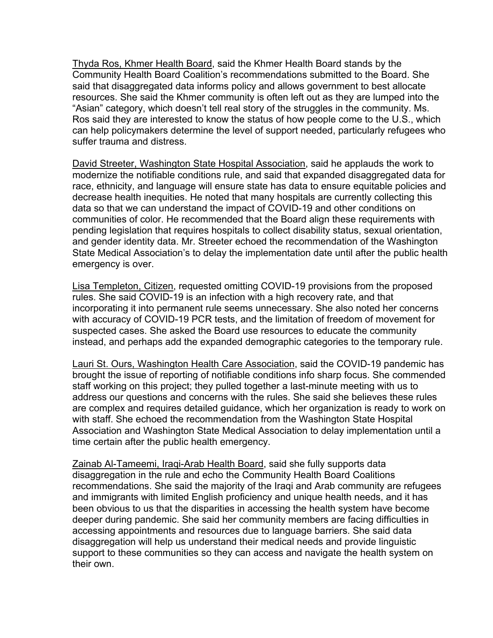Thyda Ros, Khmer Health Board, said the Khmer Health Board stands by the Community Health Board Coalition's recommendations submitted to the Board. She said that disaggregated data informs policy and allows government to best allocate resources. She said the Khmer community is often left out as they are lumped into the "Asian" category, which doesn't tell real story of the struggles in the community. Ms. Ros said they are interested to know the status of how people come to the U.S., which can help policymakers determine the level of support needed, particularly refugees who suffer trauma and distress.

David Streeter, Washington State Hospital Association, said he applauds the work to modernize the notifiable conditions rule, and said that expanded disaggregated data for race, ethnicity, and language will ensure state has data to ensure equitable policies and decrease health inequities. He noted that many hospitals are currently collecting this data so that we can understand the impact of COVID-19 and other conditions on communities of color. He recommended that the Board align these requirements with pending legislation that requires hospitals to collect disability status, sexual orientation, and gender identity data. Mr. Streeter echoed the recommendation of the Washington State Medical Association's to delay the implementation date until after the public health emergency is over.

Lisa Templeton, Citizen, requested omitting COVID-19 provisions from the proposed rules. She said COVID-19 is an infection with a high recovery rate, and that incorporating it into permanent rule seems unnecessary. She also noted her concerns with accuracy of COVID-19 PCR tests, and the limitation of freedom of movement for suspected cases. She asked the Board use resources to educate the community instead, and perhaps add the expanded demographic categories to the temporary rule.

Lauri St. Ours, Washington Health Care Association, said the COVID-19 pandemic has brought the issue of reporting of notifiable conditions info sharp focus. She commended staff working on this project; they pulled together a last-minute meeting with us to address our questions and concerns with the rules. She said she believes these rules are complex and requires detailed guidance, which her organization is ready to work on with staff. She echoed the recommendation from the Washington State Hospital Association and Washington State Medical Association to delay implementation until a time certain after the public health emergency.

Zainab Al-Tameemi, Iraqi-Arab Health Board, said she fully supports data disaggregation in the rule and echo the Community Health Board Coalitions recommendations. She said the majority of the Iraqi and Arab community are refugees and immigrants with limited English proficiency and unique health needs, and it has been obvious to us that the disparities in accessing the health system have become deeper during pandemic. She said her community members are facing difficulties in accessing appointments and resources due to language barriers. She said data disaggregation will help us understand their medical needs and provide linguistic support to these communities so they can access and navigate the health system on their own.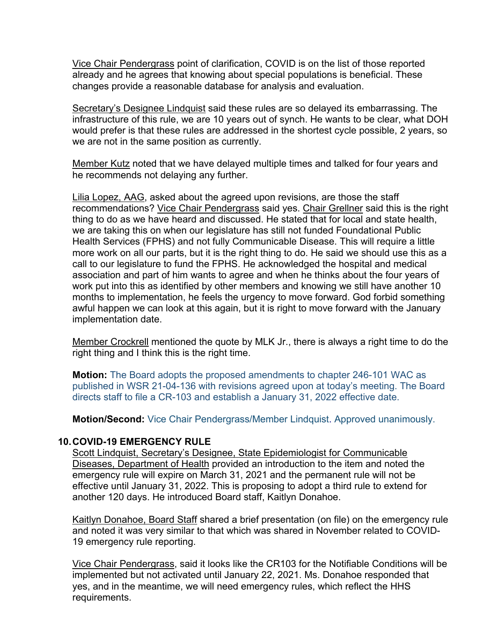Vice Chair Pendergrass point of clarification, COVID is on the list of those reported already and he agrees that knowing about special populations is beneficial. These changes provide a reasonable database for analysis and evaluation.

Secretary's Designee Lindquist said these rules are so delayed its embarrassing. The infrastructure of this rule, we are 10 years out of synch. He wants to be clear, what DOH would prefer is that these rules are addressed in the shortest cycle possible, 2 years, so we are not in the same position as currently.

Member Kutz noted that we have delayed multiple times and talked for four years and he recommends not delaying any further.

Lilia Lopez, AAG, asked about the agreed upon revisions, are those the staff recommendations? Vice Chair Pendergrass said yes. Chair Grellner said this is the right thing to do as we have heard and discussed. He stated that for local and state health, we are taking this on when our legislature has still not funded Foundational Public Health Services (FPHS) and not fully Communicable Disease. This will require a little more work on all our parts, but it is the right thing to do. He said we should use this as a call to our legislature to fund the FPHS. He acknowledged the hospital and medical association and part of him wants to agree and when he thinks about the four years of work put into this as identified by other members and knowing we still have another 10 months to implementation, he feels the urgency to move forward. God forbid something awful happen we can look at this again, but it is right to move forward with the January implementation date.

Member Crockrell mentioned the quote by MLK Jr., there is always a right time to do the right thing and I think this is the right time.

**Motion:** The Board adopts the proposed amendments to chapter 246-101 WAC as published in WSR 21-04-136 with revisions agreed upon at today's meeting. The Board directs staff to file a CR-103 and establish a January 31, 2022 effective date.

**Motion/Second:** Vice Chair Pendergrass/Member Lindquist. Approved unanimously.

#### **10.COVID-19 EMERGENCY RULE**

Scott Lindquist, Secretary's Designee, State Epidemiologist for Communicable Diseases, Department of Health provided an introduction to the item and noted the emergency rule will expire on March 31, 2021 and the permanent rule will not be effective until January 31, 2022. This is proposing to adopt a third rule to extend for another 120 days. He introduced Board staff, Kaitlyn Donahoe.

Kaitlyn Donahoe, Board Staff shared a brief presentation (on file) on the emergency rule and noted it was very similar to that which was shared in November related to COVID-19 emergency rule reporting.

Vice Chair Pendergrass, said it looks like the CR103 for the Notifiable Conditions will be implemented but not activated until January 22, 2021. Ms. Donahoe responded that yes, and in the meantime, we will need emergency rules, which reflect the HHS requirements.